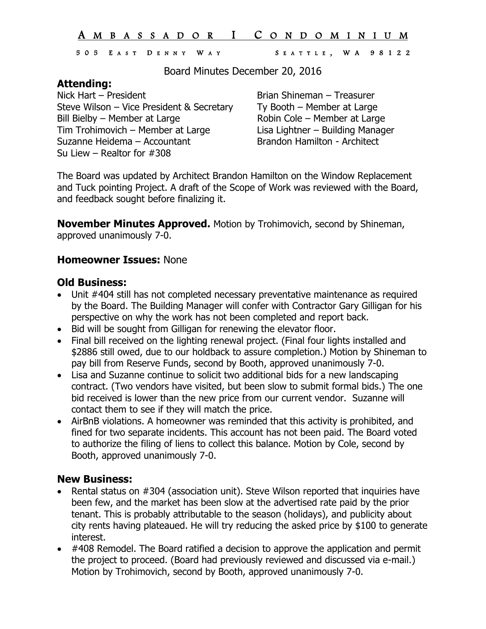### A M B A S S A D O R I C O N D O M I N I U M

#### 505 E A S T D E N N Y W A Y S E A T T L E , W A 9812 2

Board Minutes December 20, 2016

## **Attending:**

Nick Hart – President **Brian Shineman – Treasurer** Steve Wilson – Vice President & Secretary Ty Booth – Member at Large Bill Bielby – Member at Large **Robin Cole – Member at Large** Tim Trohimovich – Member at Large Lisa Lightner – Building Manager Suzanne Heidema – Accountant Brandon Hamilton - Architect Su Liew – Realtor for #308

The Board was updated by Architect Brandon Hamilton on the Window Replacement and Tuck pointing Project. A draft of the Scope of Work was reviewed with the Board, and feedback sought before finalizing it.

**November Minutes Approved.** Motion by Trohimovich, second by Shineman, approved unanimously 7-0.

### **Homeowner Issues:** None

### **Old Business:**

- Unit #404 still has not completed necessary preventative maintenance as required by the Board. The Building Manager will confer with Contractor Gary Gilligan for his perspective on why the work has not been completed and report back.
- Bid will be sought from Gilligan for renewing the elevator floor.
- Final bill received on the lighting renewal project. (Final four lights installed and \$2886 still owed, due to our holdback to assure completion.) Motion by Shineman to pay bill from Reserve Funds, second by Booth, approved unanimously 7-0.
- Lisa and Suzanne continue to solicit two additional bids for a new landscaping contract. (Two vendors have visited, but been slow to submit formal bids.) The one bid received is lower than the new price from our current vendor. Suzanne will contact them to see if they will match the price.
- AirBnB violations. A homeowner was reminded that this activity is prohibited, and fined for two separate incidents. This account has not been paid. The Board voted to authorize the filing of liens to collect this balance. Motion by Cole, second by Booth, approved unanimously 7-0.

### **New Business:**

- Rental status on #304 (association unit). Steve Wilson reported that inquiries have been few, and the market has been slow at the advertised rate paid by the prior tenant. This is probably attributable to the season (holidays), and publicity about city rents having plateaued. He will try reducing the asked price by \$100 to generate interest.
- #408 Remodel. The Board ratified a decision to approve the application and permit the project to proceed. (Board had previously reviewed and discussed via e-mail.) Motion by Trohimovich, second by Booth, approved unanimously 7-0.